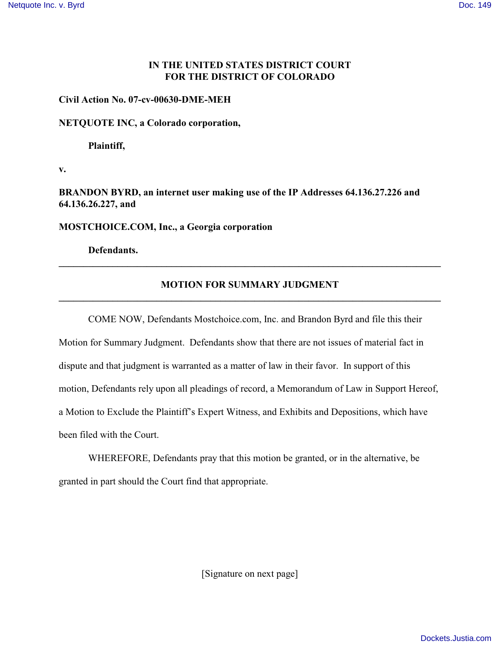### **IN THE UNITED STATES DISTRICT COURT FOR THE DISTRICT OF COLORADO**

#### **Civil Action No. 07-cv-00630-DME-MEH**

#### **NETQUOTE INC, a Colorado corporation,**

**Plaintiff,**

**v.**

**BRANDON BYRD, an internet user making use of the IP Addresses 64.136.27.226 and 64.136.26.227, and**

**MOSTCHOICE.COM, Inc., a Georgia corporation**

**Defendants.**

# **MOTION FOR SUMMARY JUDGMENT \_\_\_\_\_\_\_\_\_\_\_\_\_\_\_\_\_\_\_\_\_\_\_\_\_\_\_\_\_\_\_\_\_\_\_\_\_\_\_\_\_\_\_\_\_\_\_\_\_\_\_\_\_\_\_\_\_\_\_\_\_\_\_\_\_\_\_\_\_\_\_\_\_\_\_\_\_\_**

**\_\_\_\_\_\_\_\_\_\_\_\_\_\_\_\_\_\_\_\_\_\_\_\_\_\_\_\_\_\_\_\_\_\_\_\_\_\_\_\_\_\_\_\_\_\_\_\_\_\_\_\_\_\_\_\_\_\_\_\_\_\_\_\_\_\_\_\_\_\_\_\_\_\_\_\_\_\_**

COME NOW, Defendants Mostchoice.com, Inc. and Brandon Byrd and file this their Motion for Summary Judgment. Defendants show that there are not issues of material fact in dispute and that judgment is warranted as a matter of law in their favor. In support of this motion, Defendants rely upon all pleadings of record, a Memorandum of Law in Support Hereof, a Motion to Exclude the Plaintiff's Expert Witness, and Exhibits and Depositions, which have been filed with the Court.

WHEREFORE, Defendants pray that this motion be granted, or in the alternative, be granted in part should the Court find that appropriate.

[Signature on next page]